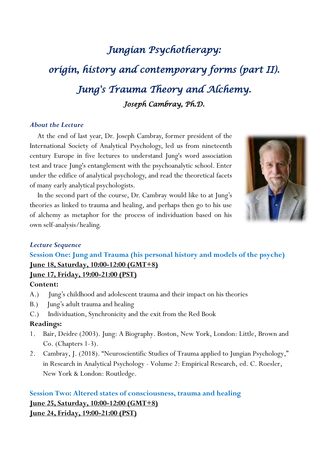# *Jungian Psychotherapy: origin, history and contemporary forms (part II). Jung's Trauma Theory and Alchemy. Joseph Cambray, Ph.D.*

#### *About the Lecture*

 At the end of last year, Dr. Joseph Cambray, former president of the International Society of Analytical Psychology, led us from nineteenth century Europe in five lectures to understand Jung's word association test and trace Jung's entanglement with the psychoanalytic school. Enter under the edifice of analytical psychology, and read the theoretical facets of many early analytical psychologists.

 In the second part of the course, Dr. Cambray would like to at Jung's theories as linked to trauma and healing, and perhaps then go to his use of alchemy as metaphor for the process of individuation based on his own self-analysis/healing.



#### *Lecture Sequence*

**Session One: Jung and Trauma (his personal history and models of the psyche) June 18, Saturday, 10:00-12:00 (GMT+8) June 17, Friday, 19:00-21:00 (PST)**

#### **Content:**

- A.) Jung's childhood and adolescent trauma and their impact on his theories
- B.) Jung's adult trauma and healing
- C.) Individuation, Synchronicity and the exit from the Red Book

#### **Readings:**

- 1. Bair, Deidre (2003). Jung: A Biography. Boston, New York, London: Little, Brown and Co. (Chapters 1-3).
- 2. Cambray, J. (2018). "Neuroscientific Studies of Trauma applied to Jungian Psychology," in Research in Analytical Psychology - Volume 2: Empirical Research, ed. C. Roesler, New York & London: Routledge.

### **Session Two: Altered states of consciousness, trauma and healing June 25, Saturday, 10:00-12:00 (GMT+8) June 24, Friday, 19:00-21:00 (PST)**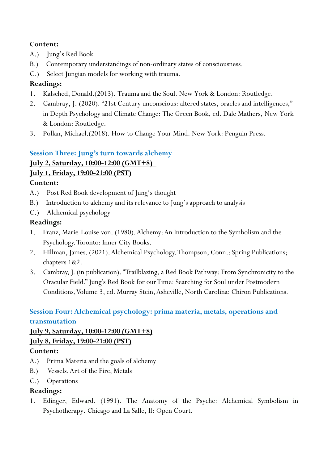#### **Content:**

- A.) Jung's Red Book
- B.) Contemporary understandings of non-ordinary states of consciousness.
- C.) Select Jungian models for working with trauma.

#### **Readings:**

- 1. Kalsched, Donald.(2013). Trauma and the Soul. New York & London: Routledge.
- 2. Cambray, J. (2020). "21st Century unconscious: altered states, oracles and intelligences," in Depth Psychology and Climate Change: The Green Book, ed. Dale Mathers, New York & London: Routledge.
- 3. Pollan, Michael.(2018). How to Change Your Mind. New York: Penguin Press.

#### **Session Three: Jung's turn towards alchemy**

### **July 2, Saturday, 10:00-12:00 (GMT+8)**

**July 1, Friday, 19:00-21:00 (PST)**

#### **Content:**

- A.) Post Red Book development of Jung's thought
- B.) Introduction to alchemy and its relevance to Jung's approach to analysis
- C.) Alchemical psychology

#### **Readings:**

- 1. Franz, Marie-Louise von. (1980). Alchemy: An Introduction to the Symbolism and the Psychology.Toronto: Inner City Books.
- 2. Hillman, James. (2021). Alchemical Psychology. Thompson, Conn.: Spring Publications; chapters 1&2.
- 3. Cambray, J. (in publication)."Trailblazing, a Red Book Pathway: From Synchronicity to the Oracular Field." Jung's Red Book for our Time: Searching for Soul under Postmodern Conditions, Volume 3, ed. Murray Stein, Asheville, North Carolina: Chiron Publications.

## **Session Four: Alchemical psychology: prima materia, metals, operations and transmutation**

# **July 9, Saturday, 10:00-12:00 (GMT+8)**

#### **July 8, Friday, 19:00-21:00 (PST)**

#### **Content:**

- A.) Prima Materia and the goals of alchemy
- B.) Vessels, Art of the Fire, Metals
- C.) Operations

#### **Readings:**

1. Edinger, Edward. (1991). The Anatomy of the Psyche: Alchemical Symbolism in Psychotherapy. Chicago and La Salle, Il: Open Court.